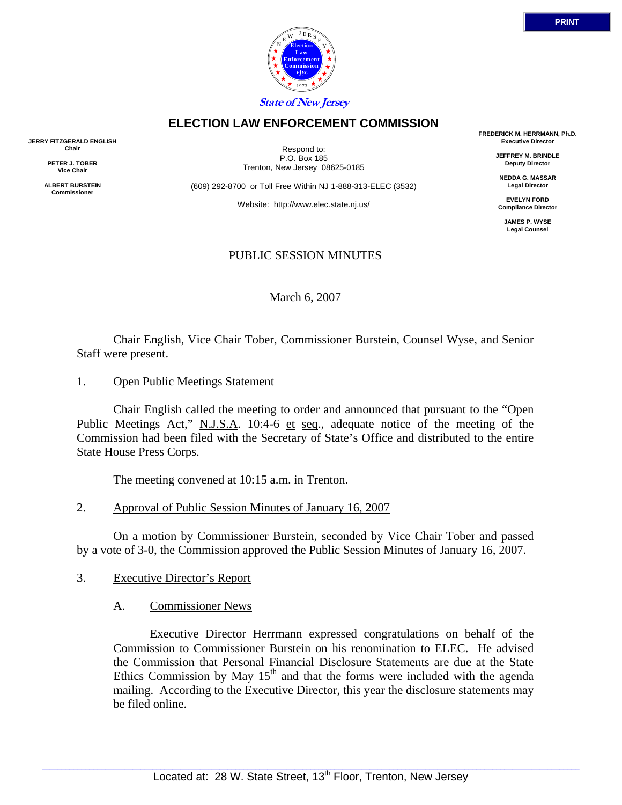

E

# **ELECTION LAW ENFORCEMENT COMMISSION**

**JERRY FITZGERALD ENGLISH Chair** 

> **PETER J. TOBER Vice Chair**

**ALBERT BURSTEIN Commissioner** 

Respond to: P.O. Box 185 Trenton, New Jersey 08625-0185

(609) 292-8700 or Toll Free Within NJ 1-888-313-ELEC (3532)

Website: http://www.elec.state.nj.us/

# PUBLIC SESSION MINUTES

March 6, 2007

 Chair English, Vice Chair Tober, Commissioner Burstein, Counsel Wyse, and Senior Staff were present.

1. Open Public Meetings Statement

 Chair English called the meeting to order and announced that pursuant to the "Open Public Meetings Act," N.J.S.A. 10:4-6 et seq., adequate notice of the meeting of the Commission had been filed with the Secretary of State's Office and distributed to the entire State House Press Corps.

The meeting convened at 10:15 a.m. in Trenton.

2. Approval of Public Session Minutes of January 16, 2007

 On a motion by Commissioner Burstein, seconded by Vice Chair Tober and passed by a vote of 3-0, the Commission approved the Public Session Minutes of January 16, 2007.

- 3. Executive Director's Report
	- A. Commissioner News

 Executive Director Herrmann expressed congratulations on behalf of the Commission to Commissioner Burstein on his renomination to ELEC. He advised the Commission that Personal Financial Disclosure Statements are due at the State Ethics Commission by May  $15<sup>th</sup>$  and that the forms were included with the agenda mailing. According to the Executive Director, this year the disclosure statements may be filed online.

**FREDERICK M. HERRMANN, Ph.D. Executive Director** 

> **JEFFREY M. BRINDLE Deputy Director**

**NEDDA G. MASSAR Legal Director** 

**EVELYN FORD Compliance Director** 

**JAMES P. WYSE Legal Counsel**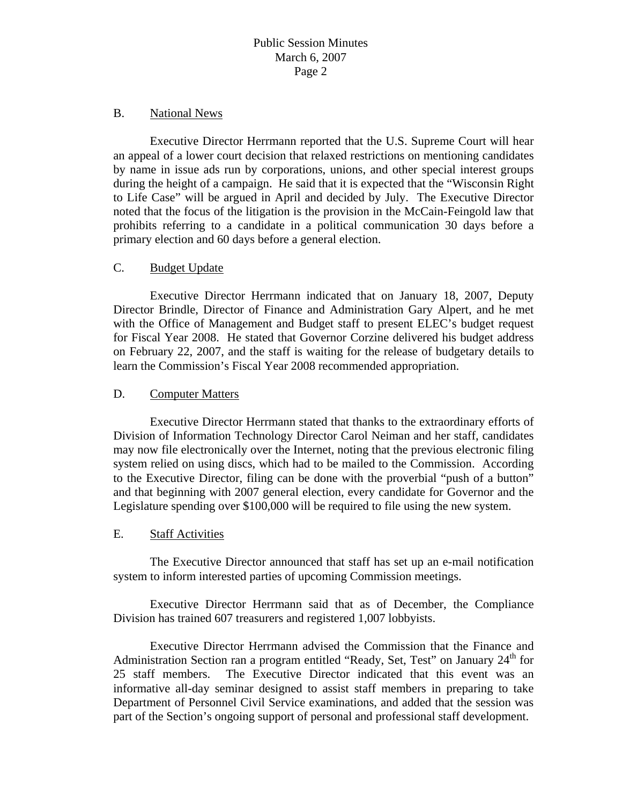### B. National News

 Executive Director Herrmann reported that the U.S. Supreme Court will hear an appeal of a lower court decision that relaxed restrictions on mentioning candidates by name in issue ads run by corporations, unions, and other special interest groups during the height of a campaign. He said that it is expected that the "Wisconsin Right to Life Case" will be argued in April and decided by July. The Executive Director noted that the focus of the litigation is the provision in the McCain-Feingold law that prohibits referring to a candidate in a political communication 30 days before a primary election and 60 days before a general election.

## C. Budget Update

 Executive Director Herrmann indicated that on January 18, 2007, Deputy Director Brindle, Director of Finance and Administration Gary Alpert, and he met with the Office of Management and Budget staff to present ELEC's budget request for Fiscal Year 2008. He stated that Governor Corzine delivered his budget address on February 22, 2007, and the staff is waiting for the release of budgetary details to learn the Commission's Fiscal Year 2008 recommended appropriation.

### D. Computer Matters

 Executive Director Herrmann stated that thanks to the extraordinary efforts of Division of Information Technology Director Carol Neiman and her staff, candidates may now file electronically over the Internet, noting that the previous electronic filing system relied on using discs, which had to be mailed to the Commission. According to the Executive Director, filing can be done with the proverbial "push of a button" and that beginning with 2007 general election, every candidate for Governor and the Legislature spending over \$100,000 will be required to file using the new system.

#### E. Staff Activities

 The Executive Director announced that staff has set up an e-mail notification system to inform interested parties of upcoming Commission meetings.

 Executive Director Herrmann said that as of December, the Compliance Division has trained 607 treasurers and registered 1,007 lobbyists.

 Executive Director Herrmann advised the Commission that the Finance and Administration Section ran a program entitled "Ready, Set, Test" on January  $24<sup>th</sup>$  for 25 staff members. The Executive Director indicated that this event was an informative all-day seminar designed to assist staff members in preparing to take Department of Personnel Civil Service examinations, and added that the session was part of the Section's ongoing support of personal and professional staff development.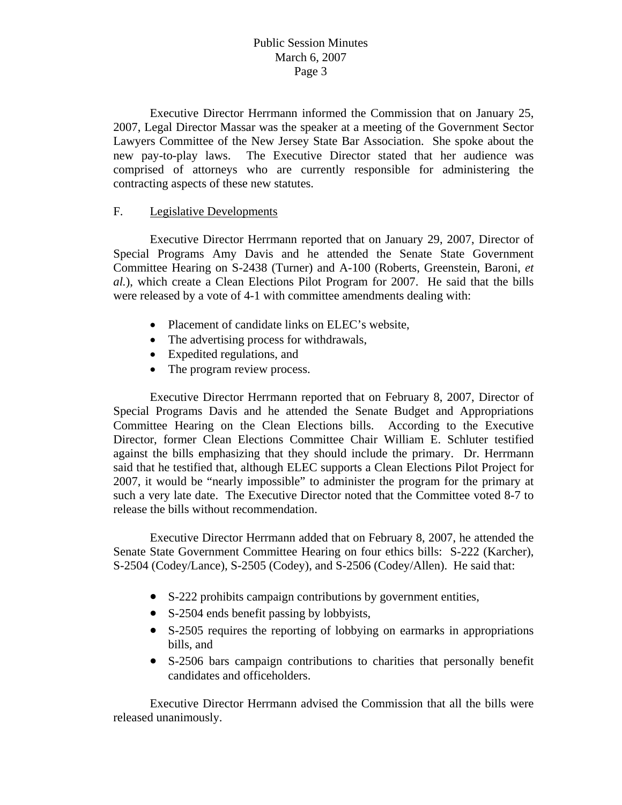Executive Director Herrmann informed the Commission that on January 25, 2007, Legal Director Massar was the speaker at a meeting of the Government Sector Lawyers Committee of the New Jersey State Bar Association. She spoke about the new pay-to-play laws. The Executive Director stated that her audience was comprised of attorneys who are currently responsible for administering the contracting aspects of these new statutes.

## F. Legislative Developments

 Executive Director Herrmann reported that on January 29, 2007, Director of Special Programs Amy Davis and he attended the Senate State Government Committee Hearing on S-2438 (Turner) and A-100 (Roberts, Greenstein, Baroni, *et al.*), which create a Clean Elections Pilot Program for 2007. He said that the bills were released by a vote of 4-1 with committee amendments dealing with:

- Placement of candidate links on ELEC's website,
- The advertising process for withdrawals,
- Expedited regulations, and
- The program review process.

 Executive Director Herrmann reported that on February 8, 2007, Director of Special Programs Davis and he attended the Senate Budget and Appropriations Committee Hearing on the Clean Elections bills. According to the Executive Director, former Clean Elections Committee Chair William E. Schluter testified against the bills emphasizing that they should include the primary. Dr. Herrmann said that he testified that, although ELEC supports a Clean Elections Pilot Project for 2007, it would be "nearly impossible" to administer the program for the primary at such a very late date. The Executive Director noted that the Committee voted 8-7 to release the bills without recommendation.

 Executive Director Herrmann added that on February 8, 2007, he attended the Senate State Government Committee Hearing on four ethics bills: S-222 (Karcher), S-2504 (Codey/Lance), S-2505 (Codey), and S-2506 (Codey/Allen). He said that:

- S-222 prohibits campaign contributions by government entities,
- S-2504 ends benefit passing by lobbyists,
- S-2505 requires the reporting of lobbying on earmarks in appropriations bills, and
- S-2506 bars campaign contributions to charities that personally benefit candidates and officeholders.

 Executive Director Herrmann advised the Commission that all the bills were released unanimously.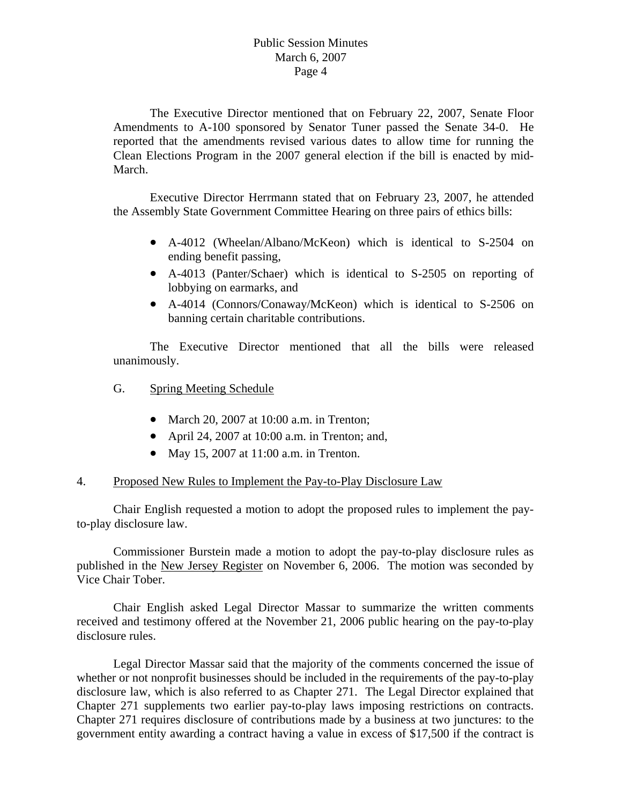The Executive Director mentioned that on February 22, 2007, Senate Floor Amendments to A-100 sponsored by Senator Tuner passed the Senate 34-0. He reported that the amendments revised various dates to allow time for running the Clean Elections Program in the 2007 general election if the bill is enacted by mid-March.

 Executive Director Herrmann stated that on February 23, 2007, he attended the Assembly State Government Committee Hearing on three pairs of ethics bills:

- A-4012 (Wheelan/Albano/McKeon) which is identical to S-2504 on ending benefit passing,
- A-4013 (Panter/Schaer) which is identical to S-2505 on reporting of lobbying on earmarks, and
- A-4014 (Connors/Conaway/McKeon) which is identical to S-2506 on banning certain charitable contributions.

 The Executive Director mentioned that all the bills were released unanimously.

- G. Spring Meeting Schedule
	- March 20, 2007 at 10:00 a.m. in Trenton;
	- April 24, 2007 at 10:00 a.m. in Trenton; and,
	- May 15, 2007 at 11:00 a.m. in Trenton.

## 4. Proposed New Rules to Implement the Pay-to-Play Disclosure Law

 Chair English requested a motion to adopt the proposed rules to implement the payto-play disclosure law.

 Commissioner Burstein made a motion to adopt the pay-to-play disclosure rules as published in the New Jersey Register on November 6, 2006. The motion was seconded by Vice Chair Tober.

 Chair English asked Legal Director Massar to summarize the written comments received and testimony offered at the November 21, 2006 public hearing on the pay-to-play disclosure rules.

 Legal Director Massar said that the majority of the comments concerned the issue of whether or not nonprofit businesses should be included in the requirements of the pay-to-play disclosure law, which is also referred to as Chapter 271. The Legal Director explained that Chapter 271 supplements two earlier pay-to-play laws imposing restrictions on contracts. Chapter 271 requires disclosure of contributions made by a business at two junctures: to the government entity awarding a contract having a value in excess of \$17,500 if the contract is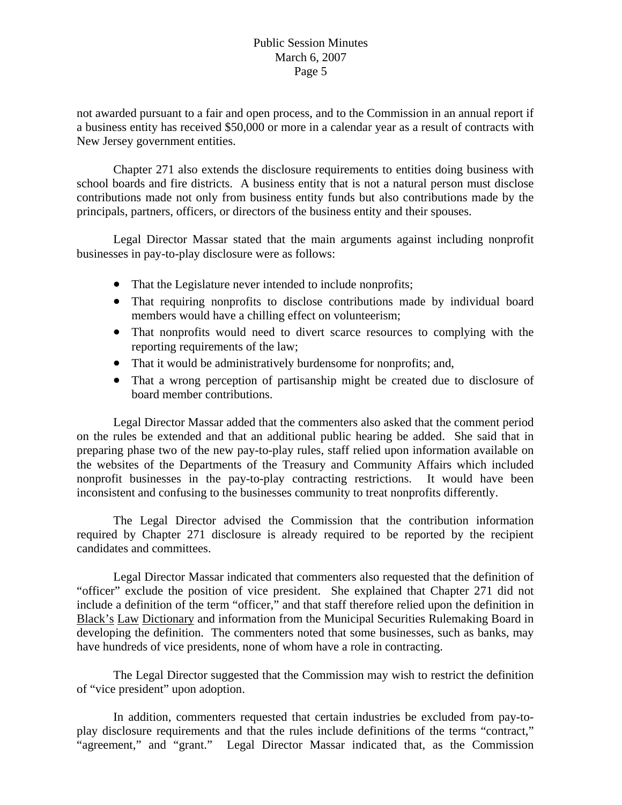not awarded pursuant to a fair and open process, and to the Commission in an annual report if a business entity has received \$50,000 or more in a calendar year as a result of contracts with New Jersey government entities.

 Chapter 271 also extends the disclosure requirements to entities doing business with school boards and fire districts. A business entity that is not a natural person must disclose contributions made not only from business entity funds but also contributions made by the principals, partners, officers, or directors of the business entity and their spouses.

 Legal Director Massar stated that the main arguments against including nonprofit businesses in pay-to-play disclosure were as follows:

- That the Legislature never intended to include nonprofits;
- That requiring nonprofits to disclose contributions made by individual board members would have a chilling effect on volunteerism;
- That nonprofits would need to divert scarce resources to complying with the reporting requirements of the law;
- That it would be administratively burdensome for nonprofits; and,
- That a wrong perception of partisanship might be created due to disclosure of board member contributions.

 Legal Director Massar added that the commenters also asked that the comment period on the rules be extended and that an additional public hearing be added. She said that in preparing phase two of the new pay-to-play rules, staff relied upon information available on the websites of the Departments of the Treasury and Community Affairs which included nonprofit businesses in the pay-to-play contracting restrictions. It would have been inconsistent and confusing to the businesses community to treat nonprofits differently.

 The Legal Director advised the Commission that the contribution information required by Chapter 271 disclosure is already required to be reported by the recipient candidates and committees.

 Legal Director Massar indicated that commenters also requested that the definition of "officer" exclude the position of vice president. She explained that Chapter 271 did not include a definition of the term "officer," and that staff therefore relied upon the definition in Black's Law Dictionary and information from the Municipal Securities Rulemaking Board in developing the definition. The commenters noted that some businesses, such as banks, may have hundreds of vice presidents, none of whom have a role in contracting.

 The Legal Director suggested that the Commission may wish to restrict the definition of "vice president" upon adoption.

 In addition, commenters requested that certain industries be excluded from pay-toplay disclosure requirements and that the rules include definitions of the terms "contract," "agreement," and "grant." Legal Director Massar indicated that, as the Commission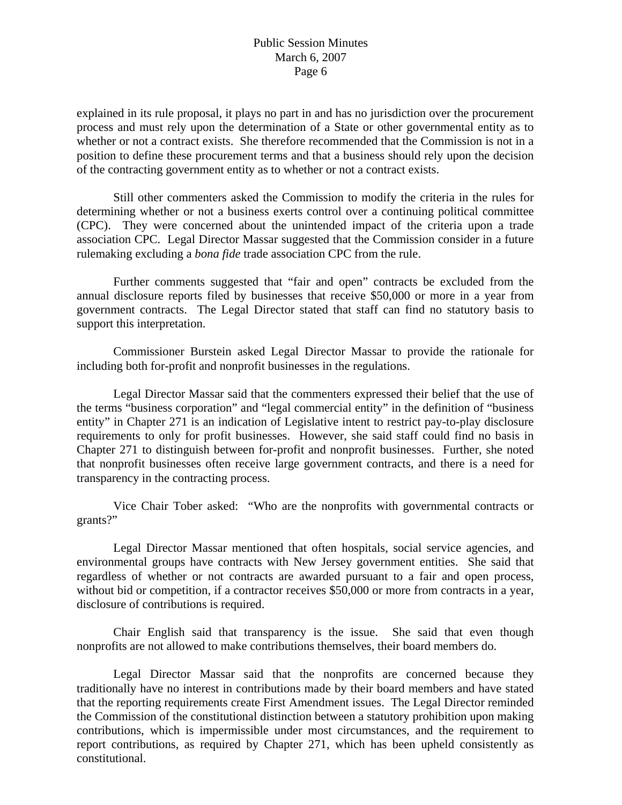explained in its rule proposal, it plays no part in and has no jurisdiction over the procurement process and must rely upon the determination of a State or other governmental entity as to whether or not a contract exists. She therefore recommended that the Commission is not in a position to define these procurement terms and that a business should rely upon the decision of the contracting government entity as to whether or not a contract exists.

 Still other commenters asked the Commission to modify the criteria in the rules for determining whether or not a business exerts control over a continuing political committee (CPC). They were concerned about the unintended impact of the criteria upon a trade association CPC. Legal Director Massar suggested that the Commission consider in a future rulemaking excluding a *bona fide* trade association CPC from the rule.

 Further comments suggested that "fair and open" contracts be excluded from the annual disclosure reports filed by businesses that receive \$50,000 or more in a year from government contracts. The Legal Director stated that staff can find no statutory basis to support this interpretation.

 Commissioner Burstein asked Legal Director Massar to provide the rationale for including both for-profit and nonprofit businesses in the regulations.

 Legal Director Massar said that the commenters expressed their belief that the use of the terms "business corporation" and "legal commercial entity" in the definition of "business entity" in Chapter 271 is an indication of Legislative intent to restrict pay-to-play disclosure requirements to only for profit businesses. However, she said staff could find no basis in Chapter 271 to distinguish between for-profit and nonprofit businesses. Further, she noted that nonprofit businesses often receive large government contracts, and there is a need for transparency in the contracting process.

 Vice Chair Tober asked: "Who are the nonprofits with governmental contracts or grants?"

 Legal Director Massar mentioned that often hospitals, social service agencies, and environmental groups have contracts with New Jersey government entities. She said that regardless of whether or not contracts are awarded pursuant to a fair and open process, without bid or competition, if a contractor receives \$50,000 or more from contracts in a year, disclosure of contributions is required.

 Chair English said that transparency is the issue. She said that even though nonprofits are not allowed to make contributions themselves, their board members do.

 Legal Director Massar said that the nonprofits are concerned because they traditionally have no interest in contributions made by their board members and have stated that the reporting requirements create First Amendment issues. The Legal Director reminded the Commission of the constitutional distinction between a statutory prohibition upon making contributions, which is impermissible under most circumstances, and the requirement to report contributions, as required by Chapter 271, which has been upheld consistently as constitutional.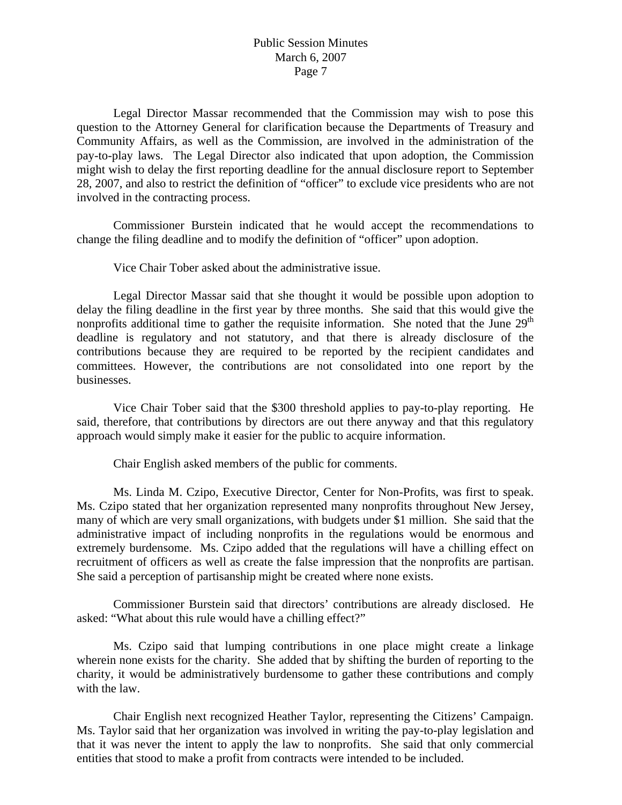Legal Director Massar recommended that the Commission may wish to pose this question to the Attorney General for clarification because the Departments of Treasury and Community Affairs, as well as the Commission, are involved in the administration of the pay-to-play laws. The Legal Director also indicated that upon adoption, the Commission might wish to delay the first reporting deadline for the annual disclosure report to September 28, 2007, and also to restrict the definition of "officer" to exclude vice presidents who are not involved in the contracting process.

 Commissioner Burstein indicated that he would accept the recommendations to change the filing deadline and to modify the definition of "officer" upon adoption.

Vice Chair Tober asked about the administrative issue.

 Legal Director Massar said that she thought it would be possible upon adoption to delay the filing deadline in the first year by three months. She said that this would give the nonprofits additional time to gather the requisite information. She noted that the June  $29<sup>th</sup>$ deadline is regulatory and not statutory, and that there is already disclosure of the contributions because they are required to be reported by the recipient candidates and committees. However, the contributions are not consolidated into one report by the businesses.

 Vice Chair Tober said that the \$300 threshold applies to pay-to-play reporting. He said, therefore, that contributions by directors are out there anyway and that this regulatory approach would simply make it easier for the public to acquire information.

Chair English asked members of the public for comments.

 Ms. Linda M. Czipo, Executive Director, Center for Non-Profits, was first to speak. Ms. Czipo stated that her organization represented many nonprofits throughout New Jersey, many of which are very small organizations, with budgets under \$1 million. She said that the administrative impact of including nonprofits in the regulations would be enormous and extremely burdensome. Ms. Czipo added that the regulations will have a chilling effect on recruitment of officers as well as create the false impression that the nonprofits are partisan. She said a perception of partisanship might be created where none exists.

 Commissioner Burstein said that directors' contributions are already disclosed. He asked: "What about this rule would have a chilling effect?"

 Ms. Czipo said that lumping contributions in one place might create a linkage wherein none exists for the charity. She added that by shifting the burden of reporting to the charity, it would be administratively burdensome to gather these contributions and comply with the law.

 Chair English next recognized Heather Taylor, representing the Citizens' Campaign. Ms. Taylor said that her organization was involved in writing the pay-to-play legislation and that it was never the intent to apply the law to nonprofits. She said that only commercial entities that stood to make a profit from contracts were intended to be included.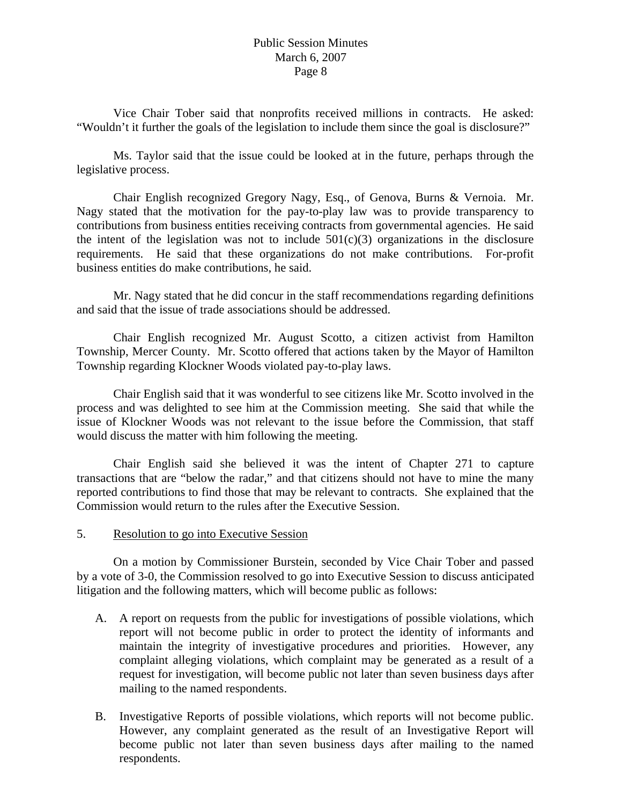Vice Chair Tober said that nonprofits received millions in contracts. He asked: "Wouldn't it further the goals of the legislation to include them since the goal is disclosure?"

 Ms. Taylor said that the issue could be looked at in the future, perhaps through the legislative process.

 Chair English recognized Gregory Nagy, Esq., of Genova, Burns & Vernoia. Mr. Nagy stated that the motivation for the pay-to-play law was to provide transparency to contributions from business entities receiving contracts from governmental agencies. He said the intent of the legislation was not to include  $501(c)(3)$  organizations in the disclosure requirements. He said that these organizations do not make contributions. For-profit business entities do make contributions, he said.

 Mr. Nagy stated that he did concur in the staff recommendations regarding definitions and said that the issue of trade associations should be addressed.

 Chair English recognized Mr. August Scotto, a citizen activist from Hamilton Township, Mercer County. Mr. Scotto offered that actions taken by the Mayor of Hamilton Township regarding Klockner Woods violated pay-to-play laws.

 Chair English said that it was wonderful to see citizens like Mr. Scotto involved in the process and was delighted to see him at the Commission meeting. She said that while the issue of Klockner Woods was not relevant to the issue before the Commission, that staff would discuss the matter with him following the meeting.

 Chair English said she believed it was the intent of Chapter 271 to capture transactions that are "below the radar," and that citizens should not have to mine the many reported contributions to find those that may be relevant to contracts. She explained that the Commission would return to the rules after the Executive Session.

### 5. Resolution to go into Executive Session

 On a motion by Commissioner Burstein, seconded by Vice Chair Tober and passed by a vote of 3-0, the Commission resolved to go into Executive Session to discuss anticipated litigation and the following matters, which will become public as follows:

- A. A report on requests from the public for investigations of possible violations, which report will not become public in order to protect the identity of informants and maintain the integrity of investigative procedures and priorities. However, any complaint alleging violations, which complaint may be generated as a result of a request for investigation, will become public not later than seven business days after mailing to the named respondents.
- B. Investigative Reports of possible violations, which reports will not become public. However, any complaint generated as the result of an Investigative Report will become public not later than seven business days after mailing to the named respondents.